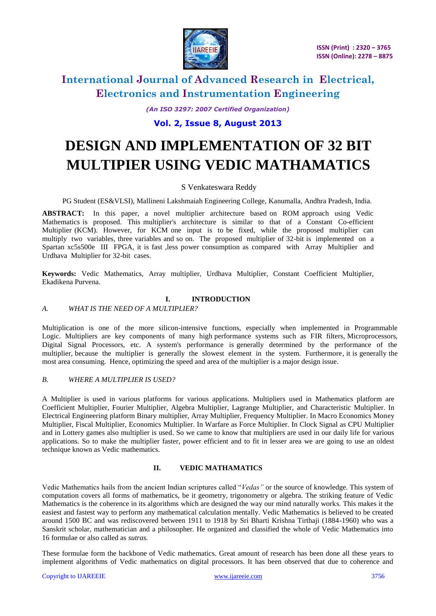

*(An ISO 3297: 2007 Certified Organization)*

# **Vol. 2, Issue 8, August 2013**

# **DESIGN AND IMPLEMENTATION OF 32 BIT MULTIPIER USING VEDIC MATHAMATICS**

# S Venkateswara Reddy

PG Student (ES&VLSI), Mallineni Lakshmaiah Engineering College, Kanumalla, Andhra Pradesh, India.

**ABSTRACT:** In this paper, a novel multiplier architecture based on ROM approach using Vedic Mathematics is proposed. This multiplier's architecture is similar to that of a Constant Co-efficient Multiplier (KCM). However, for KCM one input is to be fixed, while the proposed multiplier can multiply two variables, three variables and so on. The proposed multiplier of 32-bit is implemented on a Spartan xc5s500e III FPGA, it is fast ,less power consumption as compared with Array Multiplier and Urdhava Multiplier for 32-bit cases.

**Keywords:** Vedic Mathematics, Array multiplier, Urdhava Multiplier, Constant Coefficient Multiplier, Ekadikena Purvena.

# **I. INTRODUCTION**

# *A. WHAT IS THE NEED OF A MULTIPLIER?*

Multiplication is one of the more silicon-intensive functions, especially when implemented in Programmable Logic. Multipliers are key components of many high performance systems such as FIR filters, Microprocessors, Digital Signal Processors, etc. A system's performance is generally determined by the performance of the multiplier, because the multiplier is generally the slowest element in the system. Furthermore, it is generally the most area consuming. Hence, optimizing the speed and area of the multiplier is a major design issue.

# *B. WHERE A MULTIPLIER IS USED?*

A Multiplier is used in various platforms for various applications. Multipliers used in Mathematics platform are Coefficient Multiplier, Fourier Multiplier, Algebra Multiplier, Lagrange Multiplier, and Characteristic Multiplier. In Electrical Engineering platform Binary multiplier, Array Multiplier, Frequency Multiplier. In Macro Economics Money Multiplier, Fiscal Multiplier, Economics Multiplier. In Warfare as Force Multiplier. In Clock Signal as CPU Multiplier and in Lottery games also multiplier is used. So we came to know that multipliers are used in our daily life for various applications. So to make the multiplier faster, power efficient and to fit in lesser area we are going to use an oldest technique known as Vedic mathematics.

### **II. VEDIC MATHAMATICS**

Vedic Mathematics hails from the ancient Indian scriptures called "*Vedas"* or the source of knowledge. This system of computation covers all forms of mathematics, be it geometry, trigonometry or algebra. The striking feature of Vedic Mathematics is the coherence in its algorithms which are designed the way our mind naturally works. This makes it the easiest and fastest way to perform any mathematical calculation mentally. Vedic Mathematics is believed to be created around 1500 BC and was rediscovered between 1911 to 1918 by Sri Bharti Krishna Tirthaji (1884-1960) who was a Sanskrit scholar, mathematician and a philosopher. He organized and classified the whole of Vedic Mathematics into 16 formulae or also called as *sutras.* 

These formulae form the backbone of Vedic mathematics. Great amount of research has been done all these years to implement algorithms of Vedic mathematics on digital processors. It has been observed that due to coherence and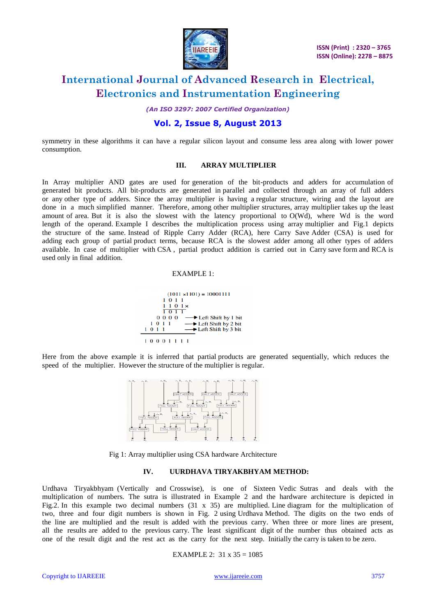

*(An ISO 3297: 2007 Certified Organization)*

# **Vol. 2, Issue 8, August 2013**

symmetry in these algorithms it can have a regular silicon layout and consume less area along with lower power consumption.

## **III. ARRAY MULTIPLIER**

In Array multiplier AND gates are used for generation of the bit-products and adders for accumulation of generated bit products. All bit-products are generated in parallel and collected through an array of full adders or any other type of adders. Since the array multiplier is having a regular structure, wiring and the layout are done in a much simplified manner. Therefore, among other multiplier structures, array multiplier takes up the least amount of area. But it is also the slowest with the latency proportional to O(Wd), where Wd is the word length of the operand. Example I describes the multiplication process using array multiplier and Fig.1 depicts the structure of the same. Instead of Ripple Carry Adder (RCA), here Carry Save Adder (CSA) is used for adding each group of partial product terms, because RCA is the slowest adder among all other types of adders available. In case of multiplier with CSA , partial product addition is carried out in Carry save form and RCA is used only in final addition.

#### EXAMPLE 1:



Here from the above example it is inferred that partial products are generated sequentially, which reduces the speed of the multiplier. However the structure of the multiplier is regular.



Fig 1: Array multiplier using CSA hardware Architecture

### **IV. UURDHAVA TIRYAKBHYAM METHOD:**

Urdhava Tiryakbhyam (Vertically and Crosswise), is one of Sixteen Vedic Sutras and deals with the multiplication of numbers. The sutra is illustrated in Example 2 and the hardware architecture is depicted in Fig.2. In this example two decimal numbers  $(31 \times 35)$  are multiplied. Line diagram for the multiplication of two, three and four digit numbers is shown in Fig. 2 using Urdhava Method. The digits on the two ends of the line are multiplied and the result is added with the previous carry. When three or more lines are present, all the results are added to the previous carry. The least significant digit of the number thus obtained acts as one of the result digit and the rest act as the carry for the next step. Initially the carry is taken to be zero.

#### EXAMPLE 2: 31 x 35 = 1085

Copyright to IJAREEIE [www.ijareeie.com](http://www.ijareeie.com/) 3757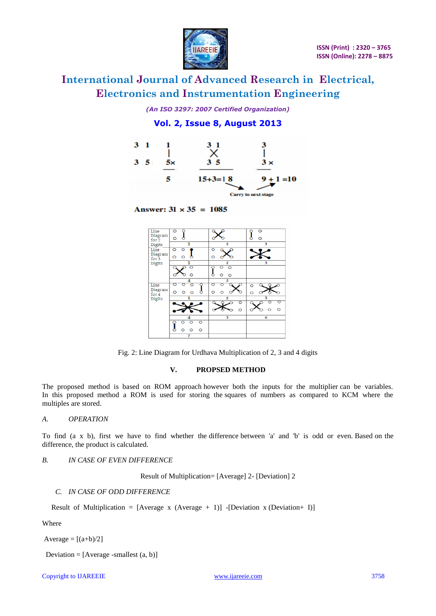

*(An ISO 3297: 2007 Certified Organization)*

**Vol. 2, Issue 8, August 2013**



Answer:  $31 \times 35 = 1085$ 



Fig. 2: Line Diagram for Urdhava Multiplication of 2, 3 and 4 digits

### **V. PROPSED METHOD**

The proposed method is based on ROM approach however both the inputs for the multiplier can be variables. In this proposed method a ROM is used for storing the squares of numbers as compared to KCM where the multiples are stored.

### *A. OPERATION*

To find (a x b), first we have to find whether the difference between 'a' and 'b' is odd or even. Based on the difference, the product is calculated.

# *B. IN CASE OF EVEN DIFFERENCE*

Result of Multiplication= [Average] 2- [Deviation] 2

# *C. IN CASE OF ODD DIFFERENCE*

Result of Multiplication =  $[Average x (Average + 1)] - [Deviation x (Deviation + I)]$ 

Where

Average  $= [(a+b)/2]$ 

Deviation =  $[Average -smallest (a, b)]$ 

Copyright to IJAREEIE [www.ijareeie.com](http://www.ijareeie.com/) 3758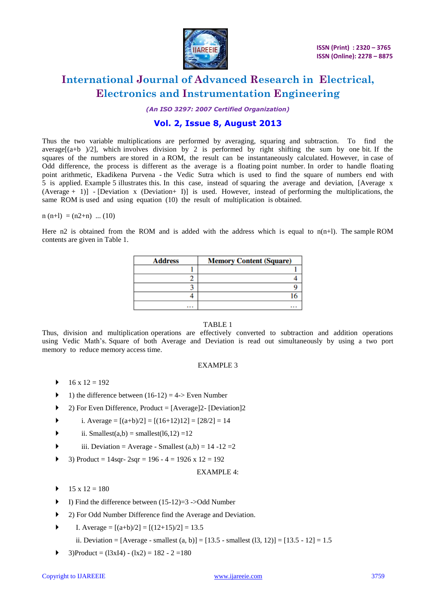

*(An ISO 3297: 2007 Certified Organization)*

# **Vol. 2, Issue 8, August 2013**

Thus the two variable multiplications are performed by averaging, squaring and subtraction. To find the average $[(a+b)/2]$ , which involves division by 2 is performed by right shifting the sum by one bit. If the squares of the numbers are stored in a ROM, the result can be instantaneously calculated. However, in case of Odd difference, the process is different as the average is a floating point number. In order to handle floating point arithmetic, Ekadikena Purvena - the Vedic Sutra which is used to find the square of numbers end with 5 is applied. Example 5 illustrates this. In this case, instead of squaring the average and deviation, [Average x (Average + 1)] - [Deviation x (Deviation + I)] is used. However, instead of performing the multiplications, the same ROM is used and using equation (10) the result of multiplication is obtained.

### $n(n+1) = (n2+n)$  ... (10)

Here n2 is obtained from the ROM and is added with the address which is equal to  $n(n+1)$ . The sample ROM contents are given in Table 1.

| <b>Address</b> | <b>Memory Content (Square)</b> |  |
|----------------|--------------------------------|--|
|                |                                |  |
|                |                                |  |
|                |                                |  |
|                |                                |  |
|                | $\cdots$                       |  |

# TABLE 1

Thus, division and multiplication operations are effectively converted to subtraction and addition operations using Vedic Math's. Square of both Average and Deviation is read out simultaneously by using a two port memory to reduce memory access time.

### EXAMPLE 3

- $16 \times 12 = 192$
- 1) the difference between  $(16-12) = 4$ -> Even Number
- $\blacktriangleright$  2) For Even Difference, Product = [Average]2- [Deviation]2
- i. Average =  $[(a+b)/2] = [(16+12)12] = [28/2] = 14$
- ii. Smallest $(a,b)$  = smallest $(16,12)$  =12
- iii. Deviation = Average Smallest  $(a,b) = 14 12 = 2$
- 3) Product =  $14$ sqr  $2$ sqr =  $196 4 = 1926$  x  $12 = 192$

### EXAMPLE 4:

- $15 \times 12 = 180$
- $\blacktriangleright$  I) Find the difference between (15-12)=3 ->Odd Number
- 2) For Odd Number Difference find the Average and Deviation.
- $\blacktriangleright$  I. Average =  $[(a+b)/2] = [(12+15)/2] = 13.5$

ii. Deviation = [Average - smallest (a, b)] = [13.5 - smallest (13, 12)] = [13.5 - 12] = 1.5

 $\blacktriangleright$  3)Product = (13xI4) - (1x2) = 182 - 2 = 180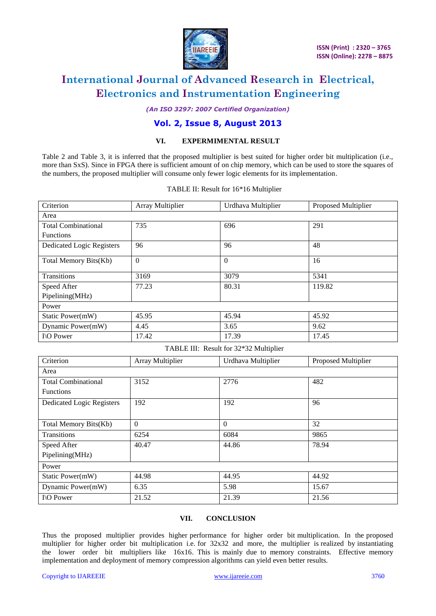

## *(An ISO 3297: 2007 Certified Organization)*

# **Vol. 2, Issue 8, August 2013**

# **VI. EXPERMIMENTAL RESULT**

Table 2 and Table 3, it is inferred that the proposed multiplier is best suited for higher order bit multiplication (i.e., more than SxS). Since in FPGA there is sufficient amount of on chip memory, which can be used to store the squares of the numbers, the proposed multiplier will consume only fewer logic elements for its implementation.

| Criterion                        | Array Multiplier        | Urdhava Multiplier                     | Proposed Multiplier |
|----------------------------------|-------------------------|----------------------------------------|---------------------|
| Area                             |                         |                                        |                     |
| <b>Total Combinational</b>       | 735                     | 696                                    | 291                 |
| Functions                        |                         |                                        |                     |
| <b>Dedicated Logic Registers</b> | 96                      | 96                                     | 48                  |
| Total Memory Bits(Kb)            | $\mathbf{0}$            | $\mathbf{0}$                           | 16                  |
| Transitions                      | 3169                    | 3079                                   | 5341                |
| Speed After                      | 77.23                   | 80.31                                  | 119.82              |
| Pipelining(MHz)                  |                         |                                        |                     |
| Power                            |                         |                                        |                     |
| Static Power(mW)                 | 45.95                   | 45.94                                  | 45.92               |
| Dynamic Power(mW)                | 4.45                    | 3.65                                   | 9.62                |
| I\O Power                        | 17.42                   | 17.39                                  | 17.45               |
|                                  |                         |                                        |                     |
|                                  |                         | TABLE III: Result for 32*32 Multiplier |                     |
| Criterion                        | <b>Array Multiplier</b> | Urdhava Multiplier                     | Proposed Multiplier |
| Area                             |                         |                                        |                     |
| <b>Total Combinational</b>       | 3152                    | 2776                                   | 482                 |
| Functions                        |                         |                                        |                     |
| <b>Dedicated Logic Registers</b> | 192                     | 192                                    | 96                  |
|                                  |                         |                                        |                     |
| Total Memory Bits(Kb)            | $\mathbf{0}$            | $\overline{0}$                         | 32                  |
| <b>Transitions</b>               | 6254                    | 6084                                   | 9865                |
| Speed After                      | 40.47                   | 44.86                                  | 78.94               |
| Pipelining(MHz)                  |                         |                                        |                     |
| Power                            |                         |                                        |                     |
| Static Power(mW)                 | 44.98                   | 44.95                                  | 44.92               |

### TABLE II: Result for 16\*16 Multiplier

### **VII. CONCLUSION**

I\O Power 21.52 21.50 21.39 21.56

Thus the proposed multiplier provides higher performance for higher order bit multiplication. In the proposed multiplier for higher order bit multiplication i.e. for 32x32 and more, the multiplier is realized by instantiating the lower order bit multipliers like 16x16. This is mainly due to memory constraints. Effective memory implementation and deployment of memory compression algorithms can yield even better results.